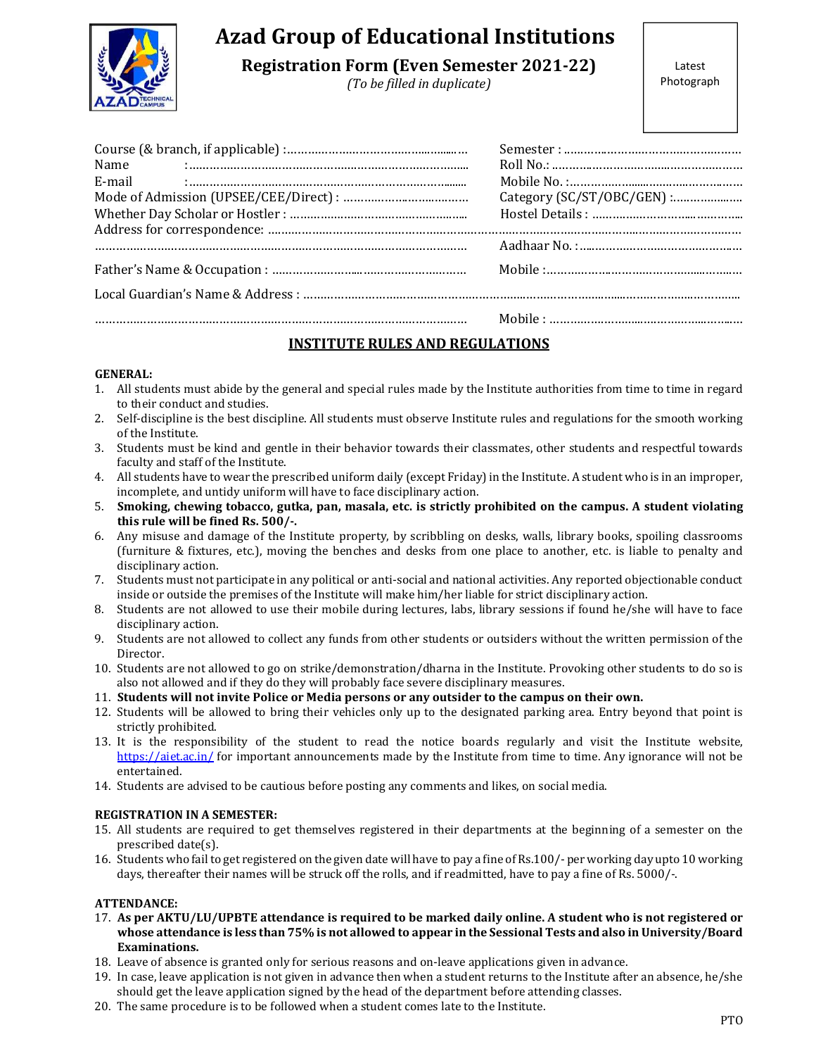

# Azad Group of Educational Institutions

Registration Form (Even Semester 2021-22)

(To be filled in duplicate)

| Name<br>E-mail | Category (SC/ST/OBC/GEN) : |  |
|----------------|----------------------------|--|
|                |                            |  |
|                |                            |  |
|                |                            |  |
|                |                            |  |

# INSTITUTE RULES AND REGULATIONS

# GENERAL:

- 1. All students must abide by the general and special rules made by the Institute authorities from time to time in regard to their conduct and studies.
- 2. Self-discipline is the best discipline. All students must observe Institute rules and regulations for the smooth working of the Institute.
- 3. Students must be kind and gentle in their behavior towards their classmates, other students and respectful towards faculty and staff of the Institute.
- 4. All students have to wear the prescribed uniform daily (except Friday) in the Institute. A student who is in an improper, incomplete, and untidy uniform will have to face disciplinary action.
- 5. Smoking, chewing tobacco, gutka, pan, masala, etc. is strictly prohibited on the campus. A student violating this rule will be fined Rs. 500/-.
- 6. Any misuse and damage of the Institute property, by scribbling on desks, walls, library books, spoiling classrooms (furniture & fixtures, etc.), moving the benches and desks from one place to another, etc. is liable to penalty and disciplinary action.
- 7. Students must not participate in any political or anti-social and national activities. Any reported objectionable conduct inside or outside the premises of the Institute will make him/her liable for strict disciplinary action.
- 8. Students are not allowed to use their mobile during lectures, labs, library sessions if found he/she will have to face disciplinary action.
- 9. Students are not allowed to collect any funds from other students or outsiders without the written permission of the Director.
- 10. Students are not allowed to go on strike/demonstration/dharna in the Institute. Provoking other students to do so is also not allowed and if they do they will probably face severe disciplinary measures.
- 11. Students will not invite Police or Media persons or any outsider to the campus on their own.
- 12. Students will be allowed to bring their vehicles only up to the designated parking area. Entry beyond that point is strictly prohibited.
- 13. It is the responsibility of the student to read the notice boards regularly and visit the Institute website, https://aiet.ac.in/ for important announcements made by the Institute from time to time. Any ignorance will not be entertained.
- 14. Students are advised to be cautious before posting any comments and likes, on social media.

# REGISTRATION IN A SEMESTER:

- 15. All students are required to get themselves registered in their departments at the beginning of a semester on the prescribed date(s).
- 16. Students who fail to get registered on the given date will have to pay a fine of Rs.100/- per working day upto 10 working days, thereafter their names will be struck off the rolls, and if readmitted, have to pay a fine of Rs. 5000/-.

# ATTENDANCE:

- 17. As per AKTU/LU/UPBTE attendance is required to be marked daily online. A student who is not registered or whose attendance is less than 75% is not allowed to appear in the Sessional Tests and also in University/Board Examinations.
- 18. Leave of absence is granted only for serious reasons and on-leave applications given in advance.
- 19. In case, leave application is not given in advance then when a student returns to the Institute after an absence, he/she should get the leave application signed by the head of the department before attending classes.
- 20. The same procedure is to be followed when a student comes late to the Institute.